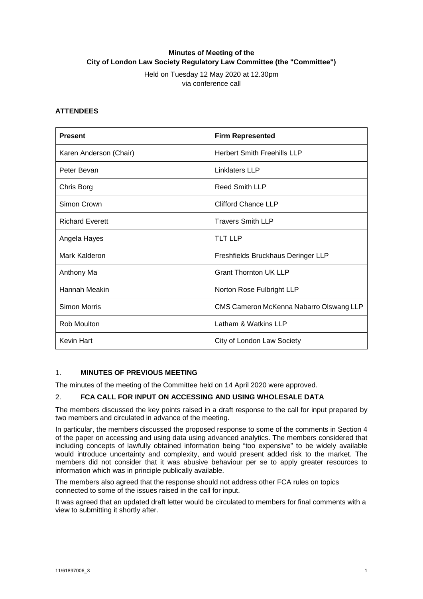# **Minutes of Meeting of the City of London Law Society Regulatory Law Committee (the "Committee")**

Held on Tuesday 12 May 2020 at 12.30pm via conference call

## **ATTENDEES**

| <b>Present</b>         | <b>Firm Represented</b>                 |
|------------------------|-----------------------------------------|
| Karen Anderson (Chair) | <b>Herbert Smith Freehills LLP</b>      |
| Peter Bevan            | Linklaters LLP                          |
| Chris Borg             | Reed Smith LLP                          |
| Simon Crown            | <b>Clifford Chance LLP</b>              |
| <b>Richard Everett</b> | <b>Travers Smith LLP</b>                |
| Angela Hayes           | <b>TLT LLP</b>                          |
| Mark Kalderon          | Freshfields Bruckhaus Deringer LLP      |
| Anthony Ma             | <b>Grant Thornton UK LLP</b>            |
| Hannah Meakin          | Norton Rose Fulbright LLP               |
| Simon Morris           | CMS Cameron McKenna Nabarro Olswang LLP |
| Rob Moulton            | Latham & Watkins LLP                    |
| <b>Kevin Hart</b>      | City of London Law Society              |

### 1. **MINUTES OF PREVIOUS MEETING**

The minutes of the meeting of the Committee held on 14 April 2020 were approved.

#### 2. **FCA CALL FOR INPUT ON ACCESSING AND USING WHOLESALE DATA**

The members discussed the key points raised in a draft response to the call for input prepared by two members and circulated in advance of the meeting.

In particular, the members discussed the proposed response to some of the comments in Section 4 of the paper on accessing and using data using advanced analytics. The members considered that including concepts of lawfully obtained information being "too expensive" to be widely available would introduce uncertainty and complexity, and would present added risk to the market. The members did not consider that it was abusive behaviour per se to apply greater resources to information which was in principle publically available.

The members also agreed that the response should not address other FCA rules on topics connected to some of the issues raised in the call for input.

It was agreed that an updated draft letter would be circulated to members for final comments with a view to submitting it shortly after.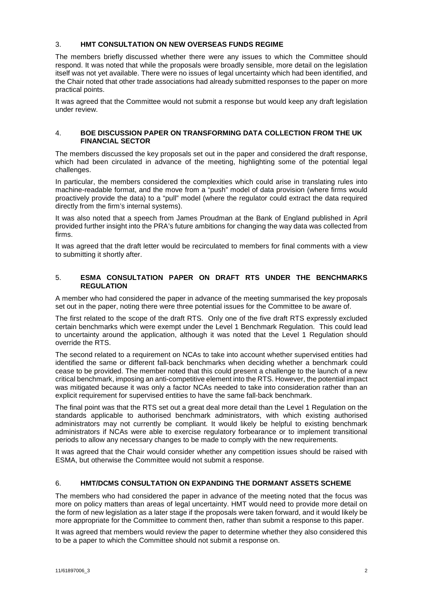#### 3. **HMT CONSULTATION ON NEW OVERSEAS FUNDS REGIME**

The members briefly discussed whether there were any issues to which the Committee should respond. It was noted that while the proposals were broadly sensible, more detail on the legislation itself was not yet available. There were no issues of legal uncertainty which had been identified, and the Chair noted that other trade associations had already submitted responses to the paper on more practical points.

It was agreed that the Committee would not submit a response but would keep any draft legislation under review.

#### 4. **BOE DISCUSSION PAPER ON TRANSFORMING DATA COLLECTION FROM THE UK FINANCIAL SECTOR**

The members discussed the key proposals set out in the paper and considered the draft response, which had been circulated in advance of the meeting, highlighting some of the potential legal challenges.

In particular, the members considered the complexities which could arise in translating rules into machine-readable format, and the move from a "push" model of data provision (where firms would proactively provide the data) to a "pull" model (where the regulator could extract the data required directly from the firm's internal systems).

It was also noted that a speech from James Proudman at the Bank of England published in April provided further insight into the PRA's future ambitions for changing the way data was collected from firms.

It was agreed that the draft letter would be recirculated to members for final comments with a view to submitting it shortly after.

#### 5. **ESMA CONSULTATION PAPER ON DRAFT RTS UNDER THE BENCHMARKS REGULATION**

A member who had considered the paper in advance of the meeting summarised the key proposals set out in the paper, noting there were three potential issues for the Committee to be aware of.

The first related to the scope of the draft RTS. Only one of the five draft RTS expressly excluded certain benchmarks which were exempt under the Level 1 Benchmark Regulation. This could lead to uncertainty around the application, although it was noted that the Level 1 Regulation should override the RTS.

The second related to a requirement on NCAs to take into account whether supervised entities had identified the same or different fall-back benchmarks when deciding whether a benchmark could cease to be provided. The member noted that this could present a challenge to the launch of a new critical benchmark, imposing an anti-competitive element into the RTS. However, the potential impact was mitigated because it was only a factor NCAs needed to take into consideration rather than an explicit requirement for supervised entities to have the same fall-back benchmark.

The final point was that the RTS set out a great deal more detail than the Level 1 Regulation on the standards applicable to authorised benchmark administrators, with which existing authorised administrators may not currently be compliant. It would likely be helpful to existing benchmark administrators if NCAs were able to exercise regulatory forbearance or to implement transitional periods to allow any necessary changes to be made to comply with the new requirements.

It was agreed that the Chair would consider whether any competition issues should be raised with ESMA, but otherwise the Committee would not submit a response.

## 6. **HMT/DCMS CONSULTATION ON EXPANDING THE DORMANT ASSETS SCHEME**

The members who had considered the paper in advance of the meeting noted that the focus was more on policy matters than areas of legal uncertainty. HMT would need to provide more detail on the form of new legislation as a later stage if the proposals were taken forward, and it would likely be more appropriate for the Committee to comment then, rather than submit a response to this paper.

It was agreed that members would review the paper to determine whether they also considered this to be a paper to which the Committee should not submit a response on.